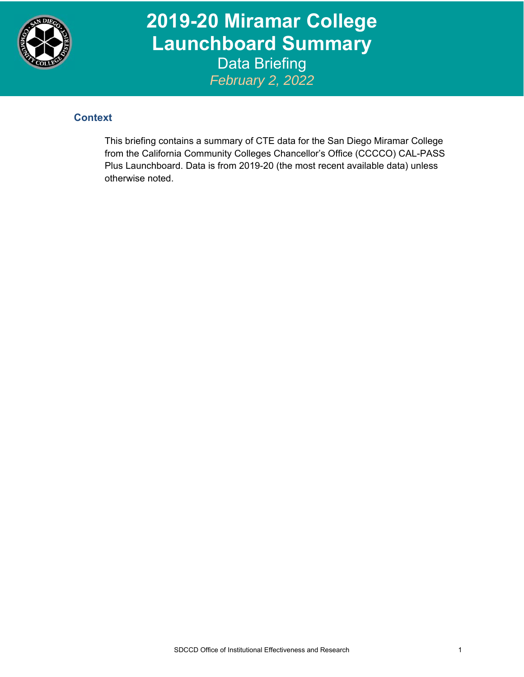

**2019-20 Miramar College Launchboard Summary**  Data Briefing *February 2, 2022*

## **Context**

This briefing contains a summary of CTE data for the San Diego Miramar College from the California Community Colleges Chancellor's Office (CCCCO) CAL-PASS Plus Launchboard. Data is from 2019-20 (the most recent available data) unless otherwise noted.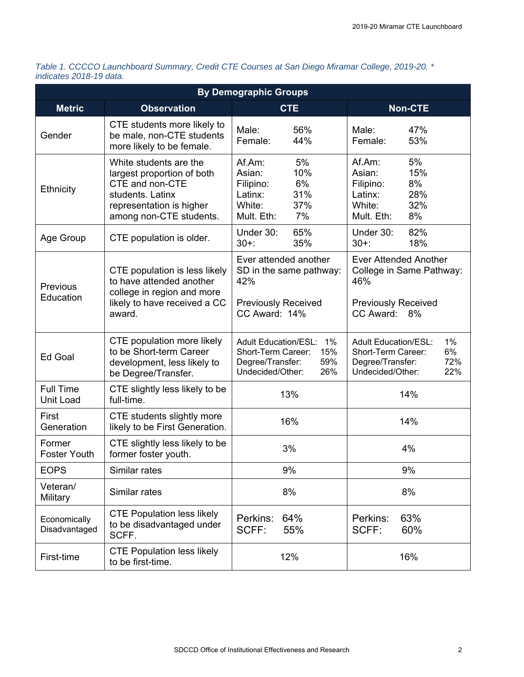| Table 1. CCCCO Launchboard Summary, Credit CTE Courses at San Diego Miramar College, 2019-20. * |  |  |
|-------------------------------------------------------------------------------------------------|--|--|
| indicates 2018-19 data.                                                                         |  |  |

| <b>By Demographic Groups</b>                                                                                                     |                                                                                                                                                    |                                                                                                                      |                                                                                                                        |  |  |
|----------------------------------------------------------------------------------------------------------------------------------|----------------------------------------------------------------------------------------------------------------------------------------------------|----------------------------------------------------------------------------------------------------------------------|------------------------------------------------------------------------------------------------------------------------|--|--|
| <b>Metric</b>                                                                                                                    | <b>Observation</b>                                                                                                                                 | <b>CTE</b>                                                                                                           | <b>Non-CTE</b>                                                                                                         |  |  |
| Gender                                                                                                                           | CTE students more likely to<br>be male, non-CTE students<br>more likely to be female.                                                              | Male:<br>56%<br>Female:<br>44%                                                                                       | Male:<br>47%<br>53%<br>Female:                                                                                         |  |  |
| Ethnicity                                                                                                                        | White students are the<br>largest proportion of both<br>CTE and non-CTE<br>students. Latinx<br>representation is higher<br>among non-CTE students. | Af.Am:<br>5%<br>Asian:<br>10%<br>6%<br>Filipino:<br>31%<br>Latinx:<br>37%<br>White:<br>7%<br>Mult. Eth:              | 5%<br>Af.Am:<br>15%<br>Asian:<br>8%<br>Filipino:<br>28%<br>Latinx:<br>32%<br>White:<br>8%<br>Mult. Eth:                |  |  |
| Age Group                                                                                                                        | CTE population is older.                                                                                                                           | Under 30:<br>65%<br>35%<br>$30+$ :                                                                                   | 82%<br>Under 30:<br>18%<br>$30+$ :                                                                                     |  |  |
| to have attended another<br><b>Previous</b><br>college in region and more<br>Education<br>likely to have received a CC<br>award. | CTE population is less likely                                                                                                                      | Ever attended another<br>SD in the same pathway:<br>42%                                                              | <b>Ever Attended Another</b><br>College in Same Pathway:<br>46%                                                        |  |  |
|                                                                                                                                  | <b>Previously Received</b><br><b>Previously Received</b><br>CC Award: 14%<br>CC Award: 8%                                                          |                                                                                                                      |                                                                                                                        |  |  |
| Ed Goal                                                                                                                          | CTE population more likely<br>to be Short-term Career<br>development, less likely to<br>be Degree/Transfer.                                        | <b>Adult Education/ESL:</b><br>1%<br>15%<br>Short-Term Career:<br>59%<br>Degree/Transfer:<br>Undecided/Other:<br>26% | $1\%$<br><b>Adult Education/ESL:</b><br>6%<br>Short-Term Career:<br>72%<br>Degree/Transfer:<br>Undecided/Other:<br>22% |  |  |
| <b>Full Time</b><br>Unit Load                                                                                                    | CTE slightly less likely to be<br>full-time.                                                                                                       | 13%                                                                                                                  | 14%                                                                                                                    |  |  |
| First<br>Generation                                                                                                              | CTE students slightly more<br>likely to be First Generation.                                                                                       | 16%                                                                                                                  | 14%                                                                                                                    |  |  |
| Former<br><b>Foster Youth</b>                                                                                                    | CTE slightly less likely to be<br>former foster youth.                                                                                             | 3%                                                                                                                   | 4%                                                                                                                     |  |  |
| <b>EOPS</b>                                                                                                                      | Similar rates                                                                                                                                      | 9%                                                                                                                   | 9%                                                                                                                     |  |  |
| Veteran/<br>Military                                                                                                             | Similar rates                                                                                                                                      | 8%                                                                                                                   | 8%                                                                                                                     |  |  |
| Economically<br>Disadvantaged                                                                                                    | <b>CTE Population less likely</b><br>to be disadvantaged under<br>SCFF.                                                                            | 64%<br>Perkins:<br>SCFF:<br>55%                                                                                      | 63%<br>Perkins:<br>SCFF:<br>60%                                                                                        |  |  |
| First-time                                                                                                                       | <b>CTE Population less likely</b><br>to be first-time.                                                                                             | 12%                                                                                                                  | 16%                                                                                                                    |  |  |